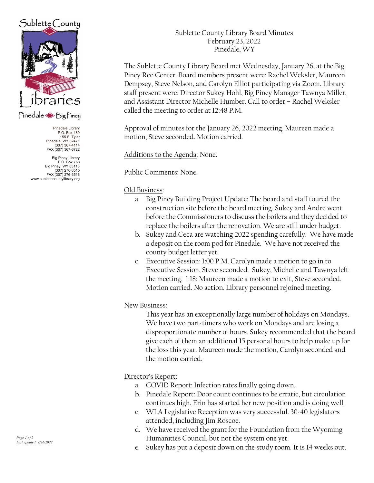# $Sublette$  County



### Pinedale Sig Piney

Pinedale Library P.O. Box 489 155 S. Tyler Pinedale, WY 82471 (307) 367-4114 FAX (307) 367-6722

Big Piney Library<br>P.O. Box 768 P.O. Box 768 Big Piney, WY 83113 (307) 276-3515 FAX (307) 276-3516 www.sublettecountylibrary.org Sublette County Library Board Minutes February 23, 2022 Pinedale, WY

The Sublette County Library Board met Wednesday, January 26, at the Big Piney Rec Center. Board members present were: Rachel Weksler, Maureen Dempsey, Steve Nelson, and Carolyn Elliot participating via Zoom. Library staff present were: Director Sukey Hohl, Big Piney Manager Tawnya Miller, and Assistant Director Michelle Humber. Call to order – Rachel Weksler called the meeting to order at 12:48 P.M.

Approval of minutes for the January 26, 2022 meeting. Maureen made a motion, Steve seconded. Motion carried.

Additions to the Agenda: None.

Public Comments: None.

#### Old Business:

- a. Big Piney Building Project Update: The board and staff toured the construction site before the board meeting. Sukey and Andre went before the Commissioners to discuss the boilers and they decided to replace the boilers after the renovation. We are still under budget.
- b. Sukey and Ceca are watching 2022 spending carefully. We have made a deposit on the room pod for Pinedale. We have not received the county budget letter yet.
- c. Executive Session: 1:00 P.M. Carolyn made a motion to go in to Executive Session, Steve seconded. Sukey, Michelle and Tawnya left the meeting. 1:18: Maureen made a motion to exit, Steve seconded. Motion carried. No action. Library personnel rejoined meeting.

### New Business:

This year has an exceptionally large number of holidays on Mondays. We have two part-timers who work on Mondays and are losing a disproportionate number of hours. Sukey recommended that the board give each of them an additional 15 personal hours to help make up for the loss this year. Maureen made the motion, Carolyn seconded and the motion carried.

### Director's Report:

- a. COVID Report: Infection rates finally going down.
- b. Pinedale Report: Door count continues to be erratic, but circulation continues high. Erin has started her new position and is doing well.
- c. WLA Legislative Reception was very successful. 30-40 legislators attended, including Jim Roscoe.
- d. We have received the grant for the Foundation from the Wyoming Humanities Council, but not the system one yet.
- e. Sukey has put a deposit down on the study room. It is 14 weeks out.

Page 1 of 2 Last updated: 4/26/2022